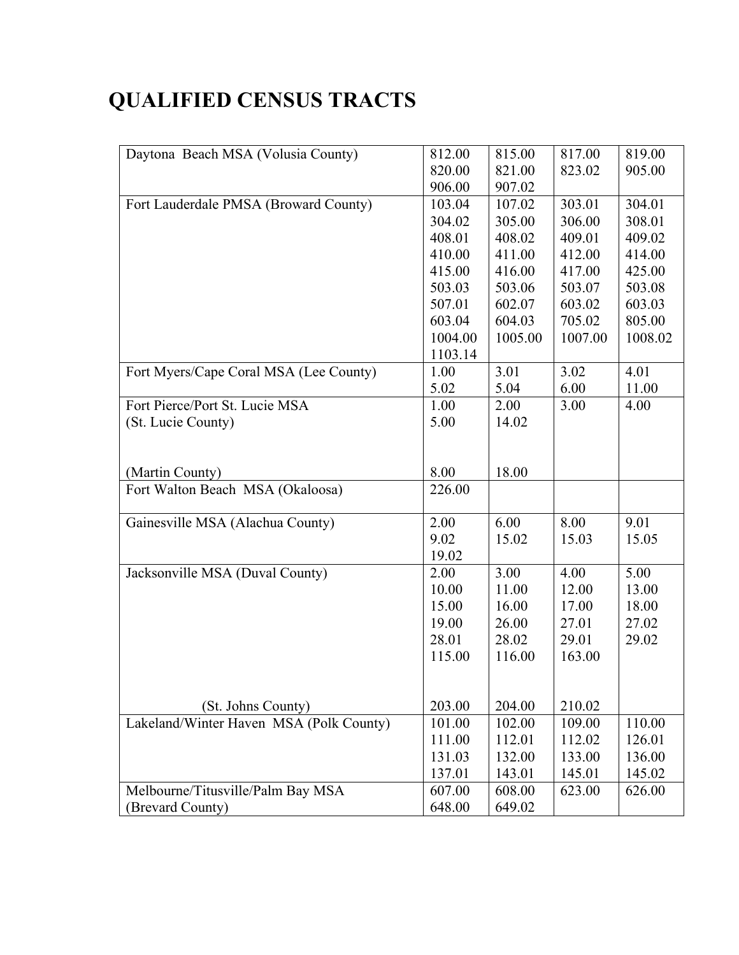## **QUALIFIED CENSUS TRACTS**

| Daytona Beach MSA (Volusia County)      | 812.00  | 815.00  | 817.00  | 819.00  |
|-----------------------------------------|---------|---------|---------|---------|
|                                         | 820.00  | 821.00  | 823.02  | 905.00  |
|                                         | 906.00  | 907.02  |         |         |
| Fort Lauderdale PMSA (Broward County)   | 103.04  | 107.02  | 303.01  | 304.01  |
|                                         | 304.02  | 305.00  | 306.00  | 308.01  |
|                                         | 408.01  | 408.02  | 409.01  | 409.02  |
|                                         | 410.00  | 411.00  | 412.00  | 414.00  |
|                                         | 415.00  | 416.00  | 417.00  | 425.00  |
|                                         | 503.03  | 503.06  | 503.07  | 503.08  |
|                                         | 507.01  | 602.07  | 603.02  | 603.03  |
|                                         | 603.04  | 604.03  | 705.02  | 805.00  |
|                                         | 1004.00 | 1005.00 | 1007.00 | 1008.02 |
|                                         | 1103.14 |         |         |         |
| Fort Myers/Cape Coral MSA (Lee County)  | 1.00    | 3.01    | 3.02    | 4.01    |
|                                         | 5.02    | 5.04    | 6.00    | 11.00   |
| Fort Pierce/Port St. Lucie MSA          | 1.00    | 2.00    | 3.00    | 4.00    |
| (St. Lucie County)                      | 5.00    | 14.02   |         |         |
|                                         |         |         |         |         |
|                                         |         |         |         |         |
| (Martin County)                         | 8.00    | 18.00   |         |         |
| Fort Walton Beach MSA (Okaloosa)        | 226.00  |         |         |         |
|                                         |         |         |         |         |
| Gainesville MSA (Alachua County)        | 2.00    | 6.00    | 8.00    | 9.01    |
|                                         | 9.02    | 15.02   | 15.03   | 15.05   |
|                                         | 19.02   |         |         |         |
| Jacksonville MSA (Duval County)         | 2.00    | 3.00    | 4.00    | 5.00    |
|                                         | 10.00   | 11.00   | 12.00   | 13.00   |
|                                         | 15.00   | 16.00   | 17.00   | 18.00   |
|                                         | 19.00   | 26.00   | 27.01   | 27.02   |
|                                         | 28.01   | 28.02   | 29.01   | 29.02   |
|                                         | 115.00  | 116.00  | 163.00  |         |
|                                         |         |         |         |         |
|                                         |         |         |         |         |
| (St. Johns County)                      | 203.00  | 204.00  | 210.02  |         |
| Lakeland/Winter Haven MSA (Polk County) | 101.00  | 102.00  | 109.00  | 110.00  |
|                                         | 111.00  | 112.01  | 112.02  | 126.01  |
|                                         | 131.03  | 132.00  | 133.00  | 136.00  |
|                                         | 137.01  | 143.01  | 145.01  | 145.02  |
| Melbourne/Titusville/Palm Bay MSA       | 607.00  | 608.00  | 623.00  | 626.00  |
| (Brevard County)                        | 648.00  | 649.02  |         |         |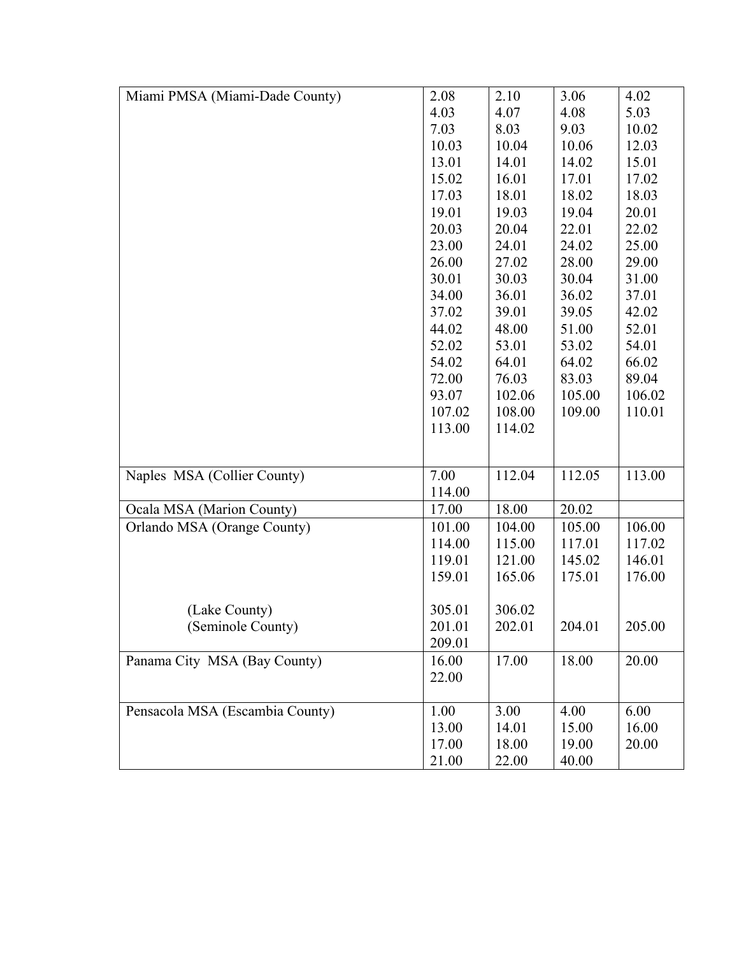| Miami PMSA (Miami-Dade County)  | 2.08   | 2.10   | 3.06   | 4.02   |
|---------------------------------|--------|--------|--------|--------|
|                                 | 4.03   | 4.07   | 4.08   | 5.03   |
|                                 | 7.03   | 8.03   | 9.03   | 10.02  |
|                                 | 10.03  | 10.04  | 10.06  | 12.03  |
|                                 | 13.01  | 14.01  | 14.02  | 15.01  |
|                                 | 15.02  | 16.01  | 17.01  | 17.02  |
|                                 | 17.03  | 18.01  | 18.02  | 18.03  |
|                                 | 19.01  | 19.03  | 19.04  | 20.01  |
|                                 | 20.03  | 20.04  | 22.01  | 22.02  |
|                                 | 23.00  | 24.01  | 24.02  | 25.00  |
|                                 | 26.00  | 27.02  | 28.00  | 29.00  |
|                                 | 30.01  | 30.03  | 30.04  | 31.00  |
|                                 | 34.00  | 36.01  | 36.02  | 37.01  |
|                                 | 37.02  | 39.01  | 39.05  | 42.02  |
|                                 | 44.02  | 48.00  | 51.00  | 52.01  |
|                                 | 52.02  | 53.01  | 53.02  | 54.01  |
|                                 | 54.02  | 64.01  | 64.02  | 66.02  |
|                                 | 72.00  | 76.03  | 83.03  | 89.04  |
|                                 | 93.07  | 102.06 | 105.00 | 106.02 |
|                                 | 107.02 | 108.00 | 109.00 | 110.01 |
|                                 | 113.00 | 114.02 |        |        |
|                                 |        |        |        |        |
| Naples MSA (Collier County)     | 7.00   | 112.04 | 112.05 | 113.00 |
|                                 | 114.00 |        |        |        |
| Ocala MSA (Marion County)       | 17.00  | 18.00  | 20.02  |        |
| Orlando MSA (Orange County)     | 101.00 | 104.00 | 105.00 | 106.00 |
|                                 | 114.00 | 115.00 | 117.01 | 117.02 |
|                                 | 119.01 | 121.00 | 145.02 | 146.01 |
|                                 | 159.01 | 165.06 | 175.01 | 176.00 |
|                                 |        |        |        |        |
| (Lake County)                   | 305.01 | 306.02 |        |        |
| (Seminole County)               | 201.01 | 202.01 | 204.01 | 205.00 |
|                                 | 209.01 |        |        |        |
| Panama City MSA (Bay County)    | 16.00  | 17.00  | 18.00  | 20.00  |
|                                 | 22.00  |        |        |        |
|                                 |        |        |        |        |
| Pensacola MSA (Escambia County) | 1.00   | 3.00   | 4.00   | 6.00   |
|                                 | 13.00  | 14.01  | 15.00  | 16.00  |
|                                 | 17.00  | 18.00  | 19.00  | 20.00  |
|                                 | 21.00  | 22.00  | 40.00  |        |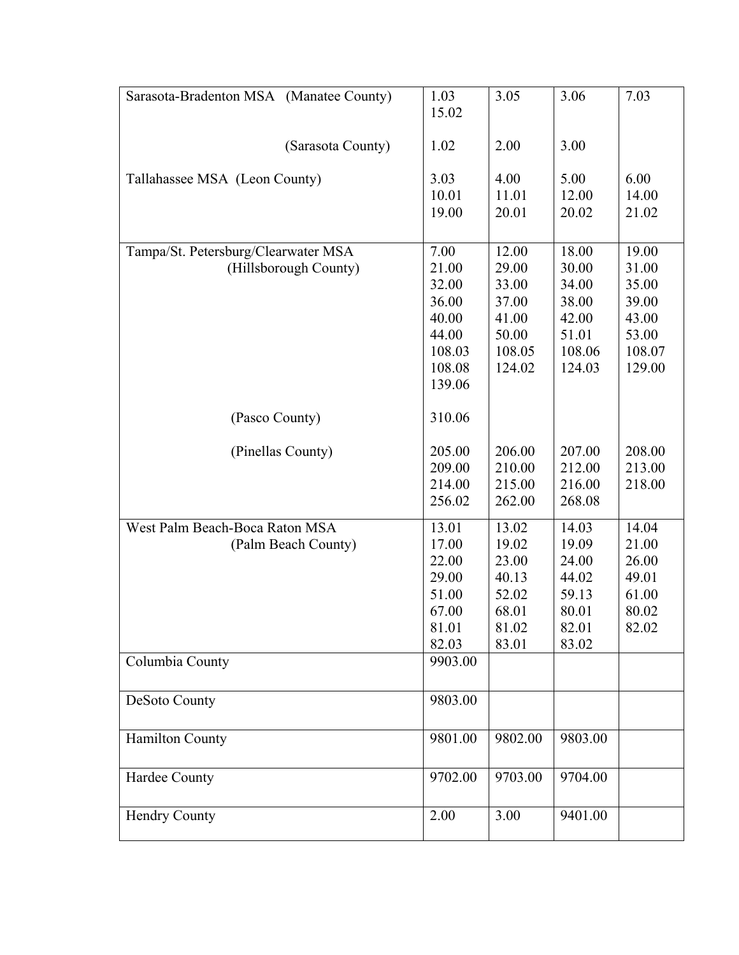| Sarasota-Bradenton MSA (Manatee County) | 1.03            | 3.05            | 3.06            | 7.03            |
|-----------------------------------------|-----------------|-----------------|-----------------|-----------------|
|                                         | 15.02           |                 |                 |                 |
| (Sarasota County)                       | 1.02            | 2.00            | 3.00            |                 |
| Tallahassee MSA (Leon County)           | 3.03            | 4.00            | 5.00            | 6.00            |
|                                         | 10.01           | 11.01           | 12.00           | 14.00           |
|                                         | 19.00           | 20.01           | 20.02           | 21.02           |
| Tampa/St. Petersburg/Clearwater MSA     | 7.00            | 12.00           | 18.00           | 19.00           |
| (Hillsborough County)                   | 21.00           | 29.00           | 30.00           | 31.00           |
|                                         | 32.00           | 33.00           | 34.00           | 35.00           |
|                                         | 36.00           | 37.00           | 38.00           | 39.00           |
|                                         | 40.00           | 41.00           | 42.00           | 43.00           |
|                                         | 44.00<br>108.03 | 50.00<br>108.05 | 51.01<br>108.06 | 53.00<br>108.07 |
|                                         | 108.08          | 124.02          | 124.03          | 129.00          |
|                                         | 139.06          |                 |                 |                 |
| (Pasco County)                          | 310.06          |                 |                 |                 |
| (Pinellas County)                       | 205.00          | 206.00          | 207.00          | 208.00          |
|                                         | 209.00          | 210.00          | 212.00          | 213.00          |
|                                         | 214.00          | 215.00          | 216.00          | 218.00          |
|                                         | 256.02          | 262.00          | 268.08          |                 |
| West Palm Beach-Boca Raton MSA          | 13.01           | 13.02           | 14.03           | 14.04           |
| (Palm Beach County)                     | 17.00           | 19.02           | 19.09           | 21.00           |
|                                         | 22.00           | 23.00           | 24.00           | 26.00           |
|                                         | 29.00<br>51.00  | 40.13           | 44.02<br>59.13  | 49.01           |
|                                         | 67.00           | 52.02<br>68.01  | 80.01           | 61.00<br>80.02  |
|                                         | 81.01           | 81.02           | 82.01           | 82.02           |
|                                         | 82.03           | 83.01           | 83.02           |                 |
| Columbia County                         | 9903.00         |                 |                 |                 |
|                                         |                 |                 |                 |                 |
| DeSoto County                           | 9803.00         |                 |                 |                 |
| <b>Hamilton County</b>                  | 9801.00         | 9802.00         | 9803.00         |                 |
| Hardee County                           | 9702.00         | 9703.00         | 9704.00         |                 |
| <b>Hendry County</b>                    | 2.00            | 3.00            | 9401.00         |                 |
|                                         |                 |                 |                 |                 |